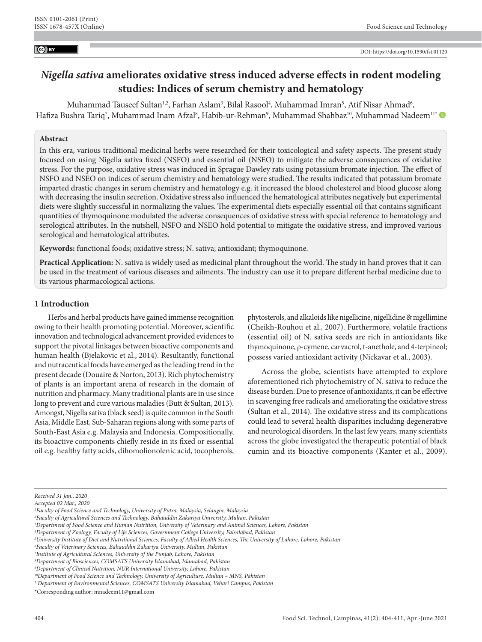#### $\left($ cc) BY

# *Nigella sativa* **ameliorates oxidative stress induced adverse effects in rodent modeling studies: Indices of serum chemistry and hematology**

Muhammad Tauseef Sultan½, Farhan Aslam¾, Bilal Rasool<sup>4</sup>, Muhammad Imran<sup>5</sup>, Atif Nisar Ahmad<sup>6</sup>, Hafiza Bushra Tariq<sup>7</sup>, Muhammad Inam Afzal<sup>8</sup>, Habib-ur-Rehman<sup>9</sup>, Muhammad Shahbaz<sup>10</sup>, Muhammad Nadeem<sup>11</sup>'

### **Abstract**

In this era, various traditional medicinal herbs were researched for their toxicological and safety aspects. The present study focused on using Nigella sativa fixed (NSFO) and essential oil (NSEO) to mitigate the adverse consequences of oxidative stress. For the purpose, oxidative stress was induced in Sprague Dawley rats using potassium bromate injection. The effect of NSFO and NSEO on indices of serum chemistry and hematology were studied. The results indicated that potassium bromate imparted drastic changes in serum chemistry and hematology e.g. it increased the blood cholesterol and blood glucose along with decreasing the insulin secretion. Oxidative stress also influenced the hematological attributes negatively but experimental diets were slightly successful in normalizing the values. The experimental diets especially essential oil that contains significant quantities of thymoquinone modulated the adverse consequences of oxidative stress with special reference to hematology and serological attributes. In the nutshell, NSFO and NSEO hold potential to mitigate the oxidative stress, and improved various serological and hematological attributes.

**Keywords:** functional foods; oxidative stress; N. sativa; antioxidant; thymoquinone.

**Practical Application:** N. sativa is widely used as medicinal plant throughout the world. The study in hand proves that it can be used in the treatment of various diseases and ailments. The industry can use it to prepare different herbal medicine due to its various pharmacological actions.

# **1 Introduction**

Herbs and herbal products have gained immense recognition owing to their health promoting potential. Moreover, scientific innovation and technological advancement provided evidences to support the pivotal linkages between bioactive components and human health (Bjelakovic et al., 2014). Resultantly, functional and nutraceutical foods have emerged as the leading trend in the present decade (Douaire & Norton, 2013). Rich phytochemistry of plants is an important arena of research in the domain of nutrition and pharmacy. Many traditional plants are in use since long to prevent and cure various maladies (Butt & Sultan, 2013). Amongst, Nigella sativa (black seed) is quite common in the South Asia, Middle East, Sub-Saharan regions along with some parts of South-East Asia e.g. Malaysia and Indonesia. Compositionally, its bioactive components chiefly reside in its fixed or essential oil e.g. healthy fatty acids, dihomolionolenic acid, tocopherols,

phytosterols, and alkaloids like nigellicine, nigellidine & nigellimine (Cheikh-Rouhou et al., 2007). Furthermore, volatile fractions (essential oil) of N. sativa seeds are rich in antioxidants like thymoquinone, ρ-cymene, carvacrol, t-anethole, and 4-terpineol; possess varied antioxidant activity (Nickavar et al., 2003).

Across the globe, scientists have attempted to explore aforementioned rich phytochemistry of N. sativa to reduce the disease burden. Due to presence of antioxidants, it can be effective in scavenging free radicals and ameliorating the oxidative stress (Sultan et al., 2014). The oxidative stress and its complications could lead to several health disparities including degenerative and neurological disorders. In the last few years, many scientists across the globe investigated the therapeutic potential of black cumin and its bioactive components (Kanter et al., 2009).

*Received 31 Jan., 2020*

*Accepted 02 Mar., 2020*

*<sup>1</sup> Faculty of Food Science and Technology, University of Putra, Malaysia, Selangor, Malaysia*

*<sup>2</sup> Faculty of Agricultural Sciences and Technology, Bahauddin Zakariya University, Multan, Pakistan* 

*<sup>3</sup> Department of Food Science and Human Nutrition, University of Veterinary and Animal Sciences, Lahore, Pakistan*

*<sup>4</sup> Department of Zoology, Faculty of Life Sciences, Government College University, Faisalabad, Pakistan*

*<sup>5</sup> University Institute of Diet and Nutritional Sciences, Faculty of Allied Health Sciences, The University of Lahore, Lahore, Pakistan* 

*<sup>6</sup> Faculty of Veterinary Sciences, Bahauddin Zakariya University, Multan, Pakistan*

*<sup>7</sup> Institute of Agricultural Sciences, University of the Punjab, Lahore, Pakistan*

*<sup>8</sup> Department of Biosciences, COMSATS University Islamabad, Islamabad, Pakistan*

*<sup>9</sup> Department of Clinical Nutrition, NUR International University, Lahore, Pakistan*

*<sup>10</sup>Department of Food Science and Technology, University of Agriculture, Multan – MNS, Pakistan*

*<sup>11</sup>Department of Environmental Sciences, COMSATS University Islamabad, Vehari Campus, Pakistan*

<sup>\*</sup>Corresponding author: [mnadeem11@gmail.com](mailto:mnadeem11@gmail.com)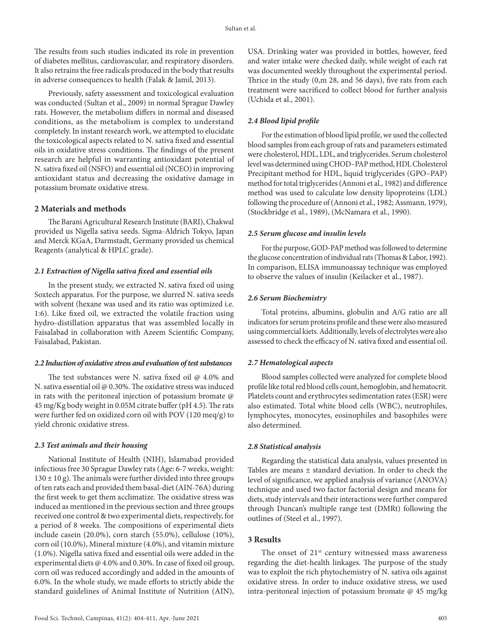The results from such studies indicated its role in prevention of diabetes mellitus, cardiovascular, and respiratory disorders. It also retrains the free radicals produced in the body that results in adverse consequences to health (Falak & Jamil, 2013).

Previously, safety assessment and toxicological evaluation was conducted (Sultan et al., 2009) in normal Sprague Dawley rats. However, the metabolism differs in normal and diseased conditions, as the metabolism is complex to understand completely. In instant research work, we attempted to elucidate the toxicological aspects related to N. sativa fixed and essential oils in oxidative stress conditions. The findings of the present research are helpful in warranting antioxidant potential of N. sativa fixed oil (NSFO) and essential oil (NCEO) in improving antioxidant status and decreasing the oxidative damage in potassium bromate oxidative stress.

# **2 Materials and methods**

The Barani Agricultural Research Institute (BARI), Chakwal provided us Nigella sativa seeds. Sigma-Aldrich Tokyo, Japan and Merck KGaA, Darmstadt, Germany provided us chemical Reagents (analytical & HPLC grade).

### *2.1 Extraction of Nigella sativa fixed and essential oils*

In the present study, we extracted N. sativa fixed oil using Soxtech apparatus. For the purpose, we slurred N. sativa seeds with solvent (hexane was used and its ratio was optimized i.e. 1:6). Like fixed oil, we extracted the volatile fraction using hydro-distillation apparatus that was assembled locally in Faisalabad in collaboration with Azeem Scientific Company, Faisalabad, Pakistan.

### *2.2 Induction of oxidative stress and evaluation of test substances*

The test substances were N, sativa fixed oil @ 4.0% and N. sativa essential oil @ 0.30%. The oxidative stress was induced in rats with the peritoneal injection of potassium bromate @ 45 mg/Kg body weight in 0.05M citrate buffer (pH 4.5). The rats were further fed on oxidized corn oil with POV (120 meq/g) to yield chronic oxidative stress.

### *2.3 Test animals and their housing*

National Institute of Health (NIH), Islamabad provided infectious free 30 Sprague Dawley rats (Age: 6-7 weeks, weight:  $130 \pm 10$  g). The animals were further divided into three groups of ten rats each and provided them basal-diet (AIN-76A) during the first week to get them acclimatize. The oxidative stress was induced as mentioned in the previous section and three groups received one control & two experimental diets, respectively, for a period of 8 weeks. The compositions of experimental diets include casein (20.0%), corn starch (55.0%), cellulose (10%), corn oil (10.0%), Mineral mixture (4.0%), and vitamin mixture (1.0%). Nigella sativa fixed and essential oils were added in the experimental diets @ 4.0% and 0.30%. In case of fixed oil group, corn oil was reduced accordingly and added in the amounts of 6.0%. In the whole study, we made efforts to strictly abide the standard guidelines of Animal Institute of Nutrition (AIN),

USA. Drinking water was provided in bottles, however, feed and water intake were checked daily, while weight of each rat was documented weekly throughout the experimental period. Thrice in the study (0,m 28, and 56 days), five rats from each treatment were sacrificed to collect blood for further analysis (Uchida et al., 2001).

### *2.4 Blood lipid profile*

For the estimation of blood lipid profile, we used the collected blood samples from each group of rats and parameters estimated were cholesterol, HDL, LDL, and triglycerides. Serum cholesterol level was determined using CHOD–PAP method, HDL Cholesterol Precipitant method for HDL, liquid triglycerides (GPO–PAP) method for total triglycerides (Annoni et al., 1982) and difference method was used to calculate low density lipoproteins (LDL) following the procedure of (Annoni et al., 1982; Assmann, 1979), (Stockbridge et al., 1989), (McNamara et al., 1990).

### *2.5 Serum glucose and insulin levels*

For the purpose, GOD-PAP method was followed to determine the glucose concentration of individual rats (Thomas & Labor, 1992). In comparison, ELISA immunoassay technique was employed to observe the values of insulin (Keilacker et al., 1987).

### *2.6 Serum Biochemistry*

Total proteins, albumins, globulin and A/G ratio are all indicators for serum proteins profile and these were also measured using commercial kiets. Additionally, levels of electrolytes were also assessed to check the efficacy of N. sativa fixed and essential oil.

### *2.7 Hematological aspects*

Blood samples collected were analyzed for complete blood profile like total red blood cells count, hemoglobin, and hematocrit. Platelets count and erythrocytes sedimentation rates (ESR) were also estimated. Total white blood cells (WBC), neutrophiles, lymphocytes, monocytes, eosinophiles and basophiles were also determined.

#### *2.8 Statistical analysis*

Regarding the statistical data analysis, values presented in Tables are means ± standard deviation. In order to check the level of significance, we applied analysis of variance (ANOVA) technique and used two factor factorial design and means for diets, study intervals and their interactions were further compared through Duncan's multiple range test (DMRt) following the outlines of (Steel et al., 1997).

# **3 Results**

The onset of  $21<sup>st</sup>$  century witnessed mass awareness regarding the diet-health linkages. The purpose of the study was to exploit the rich phytochemistry of N. sativa oils against oxidative stress. In order to induce oxidative stress, we used intra-peritoneal injection of potassium bromate @ 45 mg/kg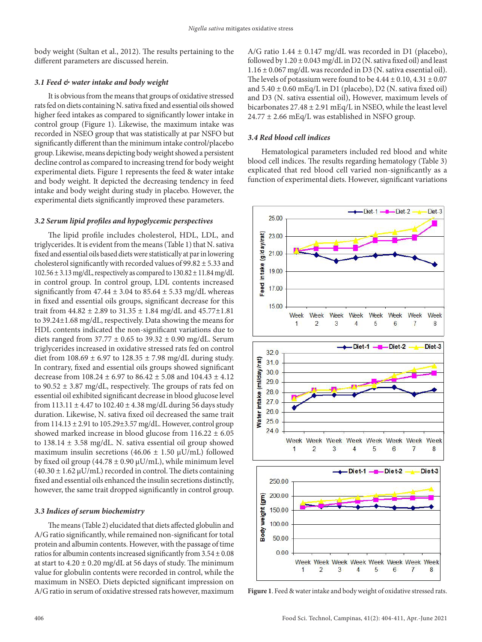body weight (Sultan et al., 2012). The results pertaining to the different parameters are discussed herein.

### *3.1 Feed & water intake and body weight*

It is obvious from the means that groups of oxidative stressed rats fed on diets containing N. sativa fixed and essential oils showed higher feed intakes as compared to significantly lower intake in control group (Figure 1). Likewise, the maximum intake was recorded in NSEO group that was statistically at par NSFO but significantly different than the minimum intake control/placebo group. Likewise, means depicting body weight showed a persistent decline control as compared to increasing trend for body weight experimental diets. Figure 1 represents the feed & water intake and body weight. It depicted the decreasing tendency in feed intake and body weight during study in placebo. However, the experimental diets significantly improved these parameters.

#### *3.2 Serum lipid profiles and hypoglycemic perspectives*

The lipid profile includes cholesterol, HDL, LDL, and triglycerides. It is evident from the means (Table 1) that N. sativa fixed and essential oils based diets were statistically at par in lowering cholesterol significantly with recorded values of 99.82 ± 5.33 and  $102.56 \pm 3.13$  mg/dL, respectively as compared to  $130.82 \pm 11.84$  mg/dL in control group. In control group, LDL contents increased significantly from  $47.44 \pm 3.04$  to  $85.64 \pm 5.33$  mg/dL whereas in fixed and essential oils groups, significant decrease for this trait from  $44.82 \pm 2.89$  to  $31.35 \pm 1.84$  mg/dL and  $45.77 \pm 1.81$ to 39.24±1.68 mg/dL, respectively. Data showing the means for HDL contents indicated the non-significant variations due to diets ranged from  $37.77 \pm 0.65$  to  $39.32 \pm 0.90$  mg/dL. Serum triglycerides increased in oxidative stressed rats fed on control diet from  $108.69 \pm 6.97$  to  $128.35 \pm 7.98$  mg/dL during study. In contrary, fixed and essential oils groups showed significant decrease from  $108.24 \pm 6.97$  to  $86.42 \pm 5.08$  and  $104.43 \pm 4.12$ to 90.52 ± 3.87 mg/dL, respectively. The groups of rats fed on essential oil exhibited significant decrease in blood glucose level from  $113.11 \pm 4.47$  to  $102.40 \pm 4.38$  mg/dL during 56 days study duration. Likewise, N. sativa fixed oil decreased the same trait from  $114.13 \pm 2.91$  to  $105.29 \pm 3.57$  mg/dL. However, control group showed marked increase in blood glucose from  $116.22 \pm 6.05$ to  $138.14 \pm 3.58$  mg/dL. N. sativa essential oil group showed maximum insulin secretions (46.06  $\pm$  1.50  $\mu$ U/mL) followed by fixed oil group (44.78  $\pm$  0.90  $\mu$ U/mL), while minimum level  $(40.30 \pm 1.62 \,\mu\text{U/mL})$  recorded in control. The diets containing fixed and essential oils enhanced the insulin secretions distinctly, however, the same trait dropped significantly in control group.

### *3.3 Indices of serum biochemistry*

The means (Table 2) elucidated that diets affected globulin and A/G ratio significantly, while remained non-significant for total protein and albumin contents. However, with the passage of time ratios for albumin contents increased significantly from  $3.54 \pm 0.08$ at start to  $4.20 \pm 0.20$  mg/dL at 56 days of study. The minimum value for globulin contents were recorded in control, while the maximum in NSEO. Diets depicted significant impression on A/G ratio in serum of oxidative stressed rats however, maximum A/G ratio 1.44  $\pm$  0.147 mg/dL was recorded in D1 (placebo), followed by  $1.20 \pm 0.043$  mg/dL in D2 (N. sativa fixed oil) and least  $1.16 \pm 0.067$  mg/dL was recorded in D3 (N. sativa essential oil). The levels of potassium were found to be  $4.44 \pm 0.10, 4.31 \pm 0.07$ and  $5.40 \pm 0.60$  mEq/L in D1 (placebo), D2 (N. sativa fixed oil) and D3 (N. sativa essential oil), However, maximum levels of bicarbonates  $27.48 \pm 2.91$  mEq/L in NSEO, while the least level  $24.77 \pm 2.66$  mEq/L was established in NSFO group.

### *3.4 Red blood cell indices*

Hematological parameters included red blood and white blood cell indices. The results regarding hematology (Table 3) explicated that red blood cell varied non-significantly as a function of experimental diets. However, significant variations



**Figure 1**. Feed & water intake and body weight of oxidative stressed rats.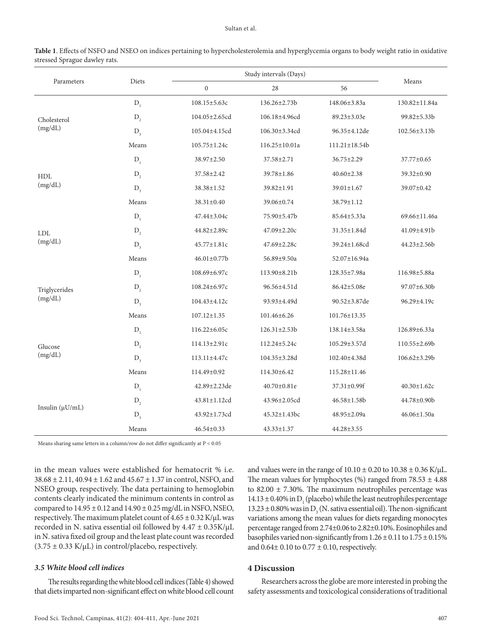### Sultan et al.

| Parameters             | Diets   | Study intervals (Days) |                     |                     |                    |
|------------------------|---------|------------------------|---------------------|---------------------|--------------------|
|                        |         | $\boldsymbol{0}$       | 28                  | 56                  | Means              |
| Cholesterol<br>(mg/dL) | $D_i$   | 108.15±5.63c           | 136.26±2.73b        | 148.06±3.83a        | 130.82±11.84a      |
|                        | $D_2$   | 104.05±2.65cd          | 106.18±4.96cd       | 89.23±3.03e         | 99.82±5.33b        |
|                        | $D_{3}$ | 105.04±4.15cd          | 106.30±3.34cd       | 96.35±4.12de        | $102.56 \pm 3.13b$ |
|                        | Means   | $105.75 \pm 1.24c$     | 116.25±10.01a       | $111.21 \pm 18.54b$ |                    |
|                        | $D_{1}$ | 38.97±2.50             | 37.58±2.71          | $36.75 \pm 2.29$    | $37.77 \pm 0.65$   |
| HDL                    | $D_{2}$ | 37.58±2.42             | 39.78±1.86          | $40.60 \pm 2.38$    | 39.32±0.90         |
| (mg/dL)                | $D_{3}$ | 38.38±1.52             | 39.82±1.91          | 39.01±1.67          | 39.07±0.42         |
|                        | Means   | 38.31±0.40             | 39.06±0.74          | 38.79±1.12          |                    |
|                        | $D_1$   | 47.44±3.04c            | 75.90±5.47b         | 85.64±5.33a         | 69.66±11.46a       |
| <b>LDL</b>             | $D_2$   | 44.82±2.89c            | 47.09±2.20c         | 31.35±1.84d         | 41.09±4.91b        |
| (mg/dL)                | $D_{3}$ | 45.77±1.81c            | 47.69±2.28c         | 39.24±1.68cd        | $44.23 \pm 2.56$   |
|                        | Means   | 46.01±0.77b            | 56.89±9.50a         | 52.07±16.94a        |                    |
|                        | $D_{1}$ | 108.69±6.97c           | 113.90±8.21b        | 128.35±7.98a        | 116.98±5.88a       |
| Triglycerides          | $D_{2}$ | 108.24±6.97c           | 96.56±4.51d         | 86.42±5.08e         | 97.07±6.30b        |
| (mg/dL)                | $D_{3}$ | 104.43±4.12c           | 93.93±4.49d         | 90.52±3.87de        | 96.29±4.19c        |
|                        | Means   | $107.12 \pm 1.35$      | 101.46±6.26         | 101.76±13.35        |                    |
|                        | $D_{1}$ | $116.22 \pm 6.05c$     | $126.31 \pm 2.53b$  | 138.14±3.58a        | 126.89±6.33a       |
| Glucose                | $D_2$   | $114.13 \pm 2.91c$     | 112.24±5.24c        | $105.29 \pm 3.57$ d | 110.55±2.69b       |
| (mg/dL)                | $D_3$   | $113.11 \pm 4.47c$     | $104.35 \pm 3.28$ d | 102.40±4.38d        | $106.62 \pm 3.29b$ |
|                        | Means   | 114.49±0.92            | 114.30±6.42         | 115.28±11.46        |                    |
|                        | $D_{1}$ | 42.89±2.23de           | 40.70±0.81e         | 37.31±0.99f         | 40.30±1.62c        |
| Insulin $(\mu U/mL)$   | $D_2$   | 43.81±1.12cd           | 43.96±2.05cd        | 46.58±1.58b         | 44.78±0.90b        |
|                        | $D_{3}$ | 43.92±1.73cd           | 45.32±1.43bc        | 48.95±2.09a         | $46.06 \pm 1.50a$  |
|                        | Means   | $46.54 \pm 0.33$       | $43.33 \pm 1.37$    | 44.28±3.55          |                    |

**Table 1**. Effects of NSFO and NSEO on indices pertaining to hypercholesterolemia and hyperglycemia organs to body weight ratio in oxidative stressed Sprague dawley rats.

Means sharing same letters in a column/row do not differ significantly at P < 0.05

in the mean values were established for hematocrit % i.e. 38.68 ± 2.11, 40.94 ± 1.62 and 45.67 ± 1.37 in control, NSFO, and NSEO group, respectively. The data pertaining to hemoglobin contents clearly indicated the minimum contents in control as compared to  $14.95 \pm 0.12$  and  $14.90 \pm 0.25$  mg/dL in NSFO, NSEO, respectively. The maximum platelet count of  $4.65 \pm 0.32$  K/ $\mu$ L was recorded in N. sativa essential oil followed by 4.47 ± 0.35K/µL in N. sativa fixed oil group and the least plate count was recorded  $(3.75 \pm 0.33 \text{ K/}\mu\text{L})$  in control/placebo, respectively.

# *3.5 White blood cell indices*

The results regarding the white blood cell indices (Table 4) showed that diets imparted non-significant effect on white blood cell count and values were in the range of  $10.10 \pm 0.20$  to  $10.38 \pm 0.36$  K/ $\mu$ L. The mean values for lymphocytes (%) ranged from  $78.53 \pm 4.88$ to  $82.00 \pm 7.30\%$ . The maximum neutrophiles percentage was  $14.13 \pm 0.40\%$  in D<sub>1</sub> (placebo) while the least neutrophiles percentage  $13.23 \pm 0.80\%$  was in D<sub>3</sub> (N. sativa essential oil). The non-significant variations among the mean values for diets regarding monocytes percentage ranged from 2.74±0.06 to 2.82±0.10%. Eosinophiles and basophiles varied non-significantly from  $1.26 \pm 0.11$  to  $1.75 \pm 0.15\%$ and  $0.64\pm0.10$  to  $0.77\pm0.10$ , respectively.

# **4 Discussion**

Researchers across the globe are more interested in probing the safety assessments and toxicological considerations of traditional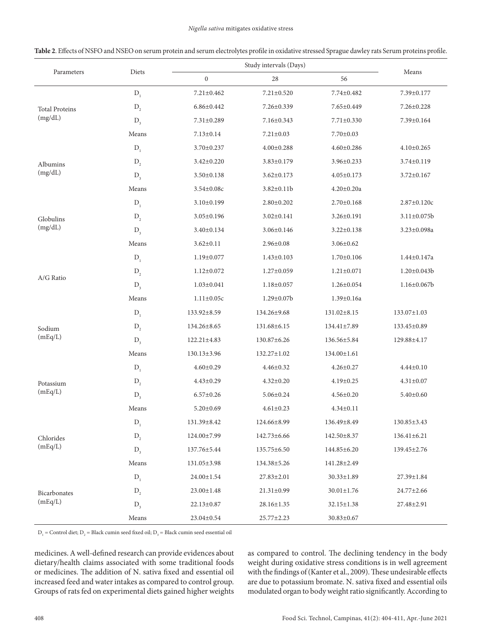#### *Nigella sativa* mitigates oxidative stress

| Parameters                       | Diets   | Study intervals (Days) |                   |                   | Means              |
|----------------------------------|---------|------------------------|-------------------|-------------------|--------------------|
|                                  |         | $\boldsymbol{0}$       | 28                | 56                |                    |
| <b>Total Proteins</b><br>(mg/dL) | $D_1$   | $7.21 \pm 0.462$       | $7.21 \pm 0.520$  | 7.74±0.482        | 7.39±0.177         |
|                                  | $D_{2}$ | $6.86 \pm 0.442$       | 7.26±0.339        | 7.65±0.449        | $7.26 \pm 0.228$   |
|                                  | $D_{3}$ | $7.31 \pm 0.289$       | 7.16±0.343        | $7.71 \pm 0.330$  | 7.39±0.164         |
|                                  | Means   | $7.13 \pm 0.14$        | $7.21 \pm 0.03$   | $7.70 \pm 0.03$   |                    |
|                                  | $D_1$   | 3.70±0.237             | $4.00 \pm 0.288$  | $4.60 \pm 0.286$  | $4.10 \pm 0.265$   |
| Albumins                         | $D_2$   | $3.42 \pm 0.220$       | $3.83 \pm 0.179$  | $3.96 \pm 0.233$  | $3.74 \pm 0.119$   |
| (mg/dL)                          | $D_{3}$ | $3.50 \pm 0.138$       | $3.62 \pm 0.173$  | $4.05 \pm 0.173$  | $3.72 \pm 0.167$   |
|                                  | Means   | $3.54 \pm 0.08c$       | $3.82 \pm 0.11$   | $4.20 \pm 0.20a$  |                    |
|                                  | $D_1$   | $3.10 \pm 0.199$       | $2.80 \pm 0.202$  | $2.70 \pm 0.168$  | $2.87 \pm 0.120c$  |
| Globulins                        | $D_2$   | $3.05 \pm 0.196$       | $3.02 \pm 0.141$  | $3.26 \pm 0.191$  | $3.11 \pm 0.075b$  |
| (mg/dL)                          | $D_{3}$ | $3.40 \pm 0.134$       | $3.06 \pm 0.146$  | $3.22 \pm 0.138$  | $3.23 \pm 0.098a$  |
|                                  | Means   | $3.62 \pm 0.11$        | $2.96 \pm 0.08$   | $3.06 \pm 0.62$   |                    |
|                                  | $D_i$   | $1.19 \pm 0.077$       | $1.43 \pm 0.103$  | $1.70 \pm 0.106$  | $1.44 \pm 0.147$ a |
| A/G Ratio                        | $D_2$   | $1.12 \pm 0.072$       | $1.27 \pm 0.059$  | $1.21 \pm 0.071$  | $1.20 \pm 0.043b$  |
|                                  | $D_3$   | $1.03 \pm 0.041$       | $1.18 \pm 0.057$  | $1.26 \pm 0.054$  | $1.16 \pm 0.067$ b |
|                                  | Means   | $1.11 \pm 0.05c$       | $1.29 \pm 0.07$ b | 1.39±0.16a        |                    |
|                                  | $D_1$   | 133.92±8.59            | 134.26±9.68       | 131.02±8.15       | $133.07 \pm 1.03$  |
| Sodium                           | $D_{2}$ | 134.26±8.65            | 131.68±6.15       | $134.41 \pm 7.89$ | 133.45±0.89        |
| (mEq/L)                          | $D_3$   | 122.21±4.83            | 130.87±6.26       | 136.56±5.84       | 129.88±4.17        |
|                                  | Means   | 130.13±3.96            | 132.27±1.02       | 134.00±1.61       |                    |
|                                  | $D_{1}$ | $4.60 \pm 0.29$        | $4.46 \pm 0.32$   | $4.26 \pm 0.27$   | $4.44 \pm 0.10$    |
| Potassium                        | $D_{2}$ | $4.43 \pm 0.29$        | $4.32 \pm 0.20$   | $4.19 \pm 0.25$   | $4.31 \pm 0.07$    |
| (mEq/L)                          | $D_3$   | $6.57 \pm 0.26$        | $5.06 \pm 0.24$   | $4.56 \pm 0.20$   | $5.40 \pm 0.60$    |
|                                  | Means   | $5.20 \pm 0.69$        | $4.61 \pm 0.23$   | $4.34 \pm 0.11$   |                    |
|                                  | $D_i$   | 131.39±8.42            | 124.66±8.99       | 136.49±8.49       | $130.85 \pm 3.43$  |
| Chlorides<br>(mEq/L)             | $D_{2}$ | 124.00±7.99            | 142.73±6.66       | 142.50±8.37       | $136.41 \pm 6.21$  |
|                                  | $D_{3}$ | 137.76±5.44            | 135.75±6.50       | $144.85 \pm 6.20$ | 139.45±2.76        |
|                                  | Means   | 131.05±3.98            | 134.38±5.26       | 141.28±2.49       |                    |
|                                  | $D_1$   | 24.00±1.54             | $27.83 \pm 2.01$  | $30.33 \pm 1.89$  | 27.39±1.84         |
| Bicarbonates                     | $D_{2}$ | $23.00 \pm 1.48$       | 21.31±0.99        | $30.01 \pm 1.76$  | 24.77±2.66         |
| (mEq/L)                          | $D_{3}$ | 22.13±0.87             | 28.16±1.35        | 32.15±1.38        | 27.48±2.91         |
|                                  | Means   | $23.04 \pm 0.54$       | 25.77±2.23        | $30.83 \pm 0.67$  |                    |

 $D_1$  = Control diet;  $D_2$  = Black cumin seed fixed oil;  $D_3$  = Black cumin seed essential oil

medicines. A well-defined research can provide evidences about dietary/health claims associated with some traditional foods or medicines. The addition of N. sativa fixed and essential oil increased feed and water intakes as compared to control group. Groups of rats fed on experimental diets gained higher weights as compared to control. The declining tendency in the body weight during oxidative stress conditions is in well agreement with the findings of (Kanter et al., 2009). These undesirable effects are due to potassium bromate. N. sativa fixed and essential oils modulated organ to body weight ratio significantly. According to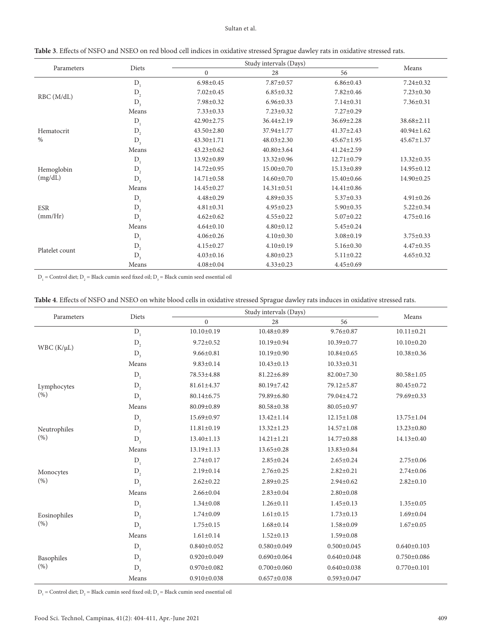## Sultan et al.

| Parameters            | Diets   | Study intervals (Days) |                  |                  |                  |
|-----------------------|---------|------------------------|------------------|------------------|------------------|
|                       |         | $\mathbf{0}$           | 28               | 56               | Means            |
| RBC(M/dL)             | $D_{1}$ | $6.98 \pm 0.45$        | $7.87 \pm 0.57$  | $6.86 \pm 0.43$  | $7.24 \pm 0.32$  |
|                       | $D_2$   | $7.02 \pm 0.45$        | $6.85 \pm 0.32$  | $7.82 \pm 0.46$  | $7.23 \pm 0.30$  |
|                       | $D_{3}$ | 7.98±0.32              | $6.96 \pm 0.33$  | $7.14 \pm 0.31$  | $7.36 \pm 0.31$  |
|                       | Means   | $7.33 \pm 0.33$        | $7.23 \pm 0.32$  | $7.27 \pm 0.29$  |                  |
|                       | $D_{1}$ | 42.90±2.75             | $36.44 \pm 2.19$ | $36.69 \pm 2.28$ | $38.68 \pm 2.11$ |
| Hematocrit            | $D_2$   | $43.50 \pm 2.80$       | 37.94±1.77       | $41.37 \pm 2.43$ | $40.94 \pm 1.62$ |
| $\%$                  | $D_3$   | $43.30 \pm 1.71$       | $48.03 \pm 2.30$ | $45.67 \pm 1.95$ | $45.67 \pm 1.37$ |
|                       | Means   | $43.23 \pm 0.62$       | $40.80 \pm 3.64$ | $41.24 \pm 2.59$ |                  |
|                       | $D_1$   | $13.92 \pm 0.89$       | $13.32 \pm 0.96$ | $12.71 \pm 0.79$ | $13.32 \pm 0.35$ |
| Hemoglobin            | $D_{2}$ | $14.72 \pm 0.95$       | $15.00 \pm 0.70$ | $15.13 \pm 0.89$ | 14.95±0.12       |
| (mg/dL)               | $D_{3}$ | $14.71 \pm 0.58$       | 14.60±0.70       | $15.40 \pm 0.66$ | 14.90±0.25       |
|                       | Means   | 14.45±0.27             | $14.31 \pm 0.51$ | $14.41 \pm 0.86$ |                  |
| <b>ESR</b><br>(mm/Hr) | $D_{1}$ | $4.48 \pm 0.29$        | $4.89 \pm 0.35$  | $5.37 \pm 0.33$  | $4.91 \pm 0.26$  |
|                       | $D_2$   | $4.81 \pm 0.31$        | $4.95 \pm 0.23$  | $5.90 \pm 0.35$  | $5.22 \pm 0.34$  |
|                       | $D_{3}$ | $4.62 \pm 0.62$        | $4.55 \pm 0.22$  | $5.07 \pm 0.22$  | $4.75 \pm 0.16$  |
|                       | Means   | $4.64 \pm 0.10$        | $4.80 \pm 0.12$  | $5.45 \pm 0.24$  |                  |
| Platelet count        | $D_{1}$ | $4.06 \pm 0.26$        | $4.10 \pm 0.30$  | $3.08 \pm 0.19$  | $3.75 \pm 0.33$  |
|                       | $D_{2}$ | $4.15 \pm 0.27$        | $4.10 \pm 0.19$  | $5.16 \pm 0.30$  | $4.47 \pm 0.35$  |
|                       | $D_3$   | $4.03 \pm 0.16$        | $4.80 \pm 0.23$  | $5.11 \pm 0.22$  | $4.65 \pm 0.32$  |
|                       | Means   | $4.08 \pm 0.04$        | $4.33 \pm 0.23$  | $4.45 \pm 0.69$  |                  |

| Table 3. Effects of NSFO and NSEO on red blood cell indices in oxidative stressed Sprague dawley rats in oxidative stressed rats. |  |
|-----------------------------------------------------------------------------------------------------------------------------------|--|
|-----------------------------------------------------------------------------------------------------------------------------------|--|

 $D_1$  = Control diet;  $D_2$  = Black cumin seed fixed oil;  $D_3$  = Black cumin seed essential oil

| Table 4. Effects of NSFO and NSEO on white blood cells in oxidative stressed Sprague dawley rats induces in oxidative stressed rats |  |
|-------------------------------------------------------------------------------------------------------------------------------------|--|
|-------------------------------------------------------------------------------------------------------------------------------------|--|

|                      | Diets   | Study intervals (Days) |                   |                   |                   |
|----------------------|---------|------------------------|-------------------|-------------------|-------------------|
| Parameters           |         | $\mathbf{0}$           | 28                | 56                | Means             |
| $WBC(K/\mu L)$       | $D_1$   | $10.10 \pm 0.19$       | 10.48±0.89        | $9.76 \pm 0.87$   | $10.11 \pm 0.21$  |
|                      | $D_{2}$ | $9.72 \pm 0.52$        | 10.19±0.94        | 10.39±0.77        | $10.10 \pm 0.20$  |
|                      | $D_{3}$ | $9.66 \pm 0.81$        | 10.19±0.90        | $10.84 \pm 0.65$  | $10.38 \pm 0.36$  |
|                      | Means   | $9.83 \pm 0.14$        | $10.43 \pm 0.13$  | $10.33 \pm 0.31$  |                   |
|                      | $D_1$   | 78.53±4.88             | 81.22±6.89        | 82.00±7.30        | $80.58 \pm 1.05$  |
| Lymphocytes          | $D_{2}$ | $81.61 \pm 4.37$       | 80.19±7.42        | 79.12±5.87        | 80.45±0.72        |
| (% )                 | $D_{3}$ | 80.14±6.75             | 79.89±6.80        | 79.04±4.72        | 79.69±0.33        |
|                      | Means   | 80.09±0.89             | 80.58±0.38        | 80.05±0.97        |                   |
|                      | $D_1$   | 15.69±0.97             | $13.42 \pm 1.14$  | $12.15 \pm 1.08$  | $13.75 \pm 1.04$  |
| Neutrophiles         | $D_{2}$ | $11.81 \pm 0.19$       | $13.32 \pm 1.23$  | $14.57 \pm 1.08$  | $13.23 \pm 0.80$  |
| (% )                 | $D_{3}$ | $13.40 \pm 1.13$       | $14.21 \pm 1.21$  | 14.77±0.88        | 14.13±0.40        |
|                      | Means   | $13.19 \pm 1.13$       | 13.65±0.28        | 13.83±0.84        |                   |
|                      | $D_{1}$ | $2.74 \pm 0.17$        | $2.85 \pm 0.24$   | $2.65 \pm 0.24$   | $2.75 \pm 0.06$   |
| Monocytes            | $D_2$   | $2.19 \pm 0.14$        | $2.76 \pm 0.25$   | $2.82 \pm 0.21$   | $2.74 \pm 0.06$   |
| (% )                 | $D_{3}$ | $2.62 \pm 0.22$        | $2.89 \pm 0.25$   | $2.94 \pm 0.62$   | $2.82 \pm 0.10$   |
|                      | Means   | $2.66 \pm 0.04$        | $2.83 \pm 0.04$   | $2.80 \pm 0.08$   |                   |
|                      | $D_{1}$ | $1.34 \pm 0.08$        | $1.26 \pm 0.11$   | $1.45 \pm 0.13$   | $1.35 \pm 0.05$   |
| Eosinophiles<br>(% ) | $D_2$   | $1.74 \pm 0.09$        | $1.61 \pm 0.15$   | $1.73 \pm 0.13$   | $1.69 \pm 0.04$   |
|                      | $D_3$   | $1.75 \pm 0.15$        | $1.68 \pm 0.14$   | $1.58 \pm 0.09$   | $1.67 \pm 0.05$   |
|                      | Means   | $1.61 \pm 0.14$        | $1.52 \pm 0.13$   | $1.59 \pm 0.08$   |                   |
| Basophiles<br>(% )   | $D_{1}$ | $0.840 \pm 0.052$      | $0.580 \pm 0.049$ | $0.500 \pm 0.045$ | $0.640 \pm 0.103$ |
|                      | $D_2$   | $0.920 \pm 0.049$      | $0.690 \pm 0.064$ | $0.640 \pm 0.048$ | $0.750 \pm 0.086$ |
|                      | $D_{3}$ | $0.970 \pm 0.082$      | $0.700 \pm 0.060$ | $0.640 \pm 0.038$ | $0.770 \pm 0.101$ |
|                      | Means   | $0.910 \pm 0.038$      | $0.657 \pm 0.038$ | $0.593 \pm 0.047$ |                   |

 $D_1$  = Control diet;  $D_2$  = Black cumin seed fixed oil;  $D_3$  = Black cumin seed essential oil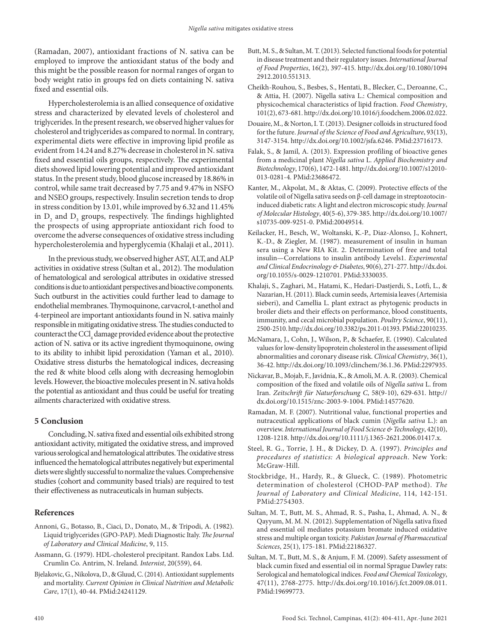(Ramadan, 2007), antioxidant fractions of N. sativa can be employed to improve the antioxidant status of the body and this might be the possible reason for normal ranges of organ to body weight ratio in groups fed on diets containing N. sativa fixed and essential oils.

Hypercholesterolemia is an allied consequence of oxidative stress and characterized by elevated levels of cholesterol and triglycerides. In the present research, we observed higher values for cholesterol and triglycerides as compared to normal. In contrary, experimental diets were effective in improving lipid profile as evident from 14.24 and 8.27% decrease in cholesterol in N. sativa fixed and essential oils groups, respectively. The experimental diets showed lipid lowering potential and improved antioxidant status. In the present study, blood glucose increased by 18.86% in control, while same trait decreased by 7.75 and 9.47% in NSFO and NSEO groups, respectively. Insulin secretion tends to drop in stress condition by 13.01, while improved by 6.32 and 11.45% in  $D_2$  and  $D_3$  groups, respectively. The findings highlighted the prospects of using appropriate antioxidant rich food to overcome the adverse consequences of oxidative stress including hypercholesterolemia and hyperglycemia (Khalaji et al., 2011).

In the previous study, we observed higher AST, ALT, and ALP activities in oxidative stress (Sultan et al., 2012). The modulation of hematological and serological attributes in oxidative stressed conditions is due to antioxidant perspectives and bioactive components. Such outburst in the activities could further lead to damage to endothelial membranes. Thymoquinone, carvacrol, t-anethol and 4-terpineol are important antioxidants found in N. sativa mainly responsible in mitigating oxidative stress. The studies conducted to counteract the  $\mathrm{CCl}_4$  damage provided evidence about the protective action of N. sativa or its active ingredient thymoquinone, owing to its ability to inhibit lipid peroxidation (Yaman et al., 2010). Oxidative stress disturbs the hematological indices, decreasing the red & white blood cells along with decreasing hemoglobin levels. However, the bioactive molecules present in N. sativa holds the potential as antioxidant and thus could be useful for treating ailments characterized with oxidative stress.

# **5 Conclusion**

Concluding, N. sativa fixed and essential oils exhibited strong antioxidant activity, mitigated the oxidative stress, and improved various serological and hematological attributes. The oxidative stress influenced the hematological attributes negatively but experimental diets were slightly successful to normalize the values. Comprehensive studies (cohort and community based trials) are required to test their effectiveness as nutraceuticals in human subjects.

# **References**

- Annoni, G., Botasso, B., Ciaci, D., Donato, M., & Tripodi, A. (1982). Liquid triglycerides (GPO-PAP). Medi Diagnostic Italy. *The Journal of Laboratory and Clinical Medicine*, 9, 115.
- Assmann, G. (1979). HDL-cholesterol precipitant. Randox Labs. Ltd. Crumlin Co. Antrim, N. Ireland. *Internist*, 20(559), 64.
- Bjelakovic, G., Nikolova, D., & Gluud, C. (2014). Antioxidant supplements and mortality. *Current Opinion in Clinical Nutrition and Metabolic Care*, 17(1), 40-44. [PMid:24241129.](https://www.ncbi.nlm.nih.gov/entrez/query.fcgi?cmd=Retrieve&db=PubMed&list_uids=24241129&dopt=Abstract)
- Butt, M. S., & Sultan, M. T. (2013). Selected functional foods for potential in disease treatment and their regulatory issues. *International Journal of Food Properties*, 16(2), 397-415. [http://dx.doi.org/10.1080/1094](https://doi.org/10.1080/10942912.2010.551313) [2912.2010.551313](https://doi.org/10.1080/10942912.2010.551313).
- Cheikh-Rouhou, S., Besbes, S., Hentati, B., Blecker, C., Deroanne, C., & Attia, H. (2007). Nigella sativa L.: Chemical composition and physicochemical characteristics of lipid fraction. *Food Chemistry*, 101(2), 673-681. [http://dx.doi.org/10.1016/j.foodchem.2006.02.022.](https://doi.org/10.1016/j.foodchem.2006.02.022)
- Douaire, M., & Norton, I. T. (2013). Designer colloids in structured food for the future. *Journal of the Science of Food and Agriculture*, 93(13), 3147-3154. [http://dx.doi.org/10.1002/jsfa.6246](https://doi.org/10.1002/jsfa.6246)[. PMid:23716173.](https://www.ncbi.nlm.nih.gov/entrez/query.fcgi?cmd=Retrieve&db=PubMed&list_uids=23716173&dopt=Abstract)
- Falak, S., & Jamil, A. (2013). Expression profiling of bioactive genes from a medicinal plant *Nigella sativa* L. *Applied Biochemistry and Biotechnology*, 170(6), 1472-1481. [http://dx.doi.org/10.1007/s12010-](https://doi.org/10.1007/s12010-013-0281-4) [013-0281-4](https://doi.org/10.1007/s12010-013-0281-4)[. PMid:23686472.](https://www.ncbi.nlm.nih.gov/entrez/query.fcgi?cmd=Retrieve&db=PubMed&list_uids=23686472&dopt=Abstract)
- Kanter, M., Akpolat, M., & Aktas, C. (2009). Protective effects of the volatile oil of Nigella sativa seeds on β-cell damage in streptozotocininduced diabetic rats: A light and electron microscopic study. *Journal of Molecular Histology*, 40(5-6), 379-385. [http://dx.doi.org/10.1007/](https://doi.org/10.1007/s10735-009-9251-0) [s10735-009-9251-0.](https://doi.org/10.1007/s10735-009-9251-0) PMid:20049514.
- Keilacker, H., Besch, W., Woltanski, K.-P., Diaz-Alonso, J., Kohnert, K.-D., & Ziegler, M. (1987). measurement of insulin in human sera using a New RIA Kit. 2. Determination of free and total insulin—Correlations to insulin antibody Levels1. *Experimental and Clinical Endocrinology & Diabetes*, 90(6), 271-277. [http://dx.doi.](https://doi.org/10.1055/s-0029-1210701) [org/10.1055/s-0029-1210701.](https://doi.org/10.1055/s-0029-1210701) [PMid:3330035.](https://www.ncbi.nlm.nih.gov/entrez/query.fcgi?cmd=Retrieve&db=PubMed&list_uids=3330035&dopt=Abstract)
- Khalaji, S., Zaghari, M., Hatami, K., Hedari-Dastjerdi, S., Lotfi, L., & Nazarian, H. (2011). Black cumin seeds, Artemisia leaves (Artemisia sieberi), and Camellia L. plant extract as phytogenic products in broiler diets and their effects on performance, blood constituents, immunity, and cecal microbial population. *Poultry Science*, 90(11), 2500-2510. [http://dx.doi.org/10.3382/ps.2011-01393.](https://doi.org/10.3382/ps.2011-01393) [PMid:22010235.](https://www.ncbi.nlm.nih.gov/entrez/query.fcgi?cmd=Retrieve&db=PubMed&list_uids=22010235&dopt=Abstract)
- McNamara, J., Cohn, J., Wilson, P., & Schaefer, E. (1990). Calculated values for low-density lipoprotein cholesterol in the assessment of lipid abnormalities and coronary disease risk. *Clinical Chemistry*, 36(1), 36-42. [http://dx.doi.org/10.1093/clinchem/36.1.36](https://doi.org/10.1093/clinchem/36.1.36)[. PMid:2297935.](https://www.ncbi.nlm.nih.gov/entrez/query.fcgi?cmd=Retrieve&db=PubMed&list_uids=2297935&dopt=Abstract)
- Nickavar, B., Mojab, F., Javidnia, K., & Amoli, M. A. R. (2003). Chemical composition of the fixed and volatile oils of *Nigella sativa* L. from Iran. *Zeitschrift für Naturforschung C*, 58(9-10), 629-631. [http://](https://doi.org/10.1515/znc-2003-9-1004) [dx.doi.org/10.1515/znc-2003-9-1004](https://doi.org/10.1515/znc-2003-9-1004)[. PMid:14577620.](https://www.ncbi.nlm.nih.gov/entrez/query.fcgi?cmd=Retrieve&db=PubMed&list_uids=14577620&dopt=Abstract)
- Ramadan, M. F. (2007). Nutritional value, functional properties and nutraceutical applications of black cumin (*Nigella sativa* L.): an overview. *International Journal of Food Science & Technology*, 42(10), 1208-1218. [http://dx.doi.org/10.1111/j.1365-2621.2006.01417.x.](https://doi.org/10.1111/j.1365-2621.2006.01417.x)
- Steel, R. G., Torrie, J. H., & Dickey, D. A. (1997). *Principles and procedures of statistics: A biological approach*. New York: McGraw-Hill.
- Stockbridge, H., Hardy, R., & Glueck, C. (1989). Photometric determination of cholesterol (CHOD-PAP method). *The Journal of Laboratory and Clinical Medicine*, 114, 142-151. [PMid:2754303.](https://www.ncbi.nlm.nih.gov/entrez/query.fcgi?cmd=Retrieve&db=PubMed&list_uids=2754303&dopt=Abstract)
- Sultan, M. T., Butt, M. S., Ahmad, R. S., Pasha, I., Ahmad, A. N., & Qayyum, M. M. N. (2012). Supplementation of Nigella sativa fixed and essential oil mediates potassium bromate induced oxidative stress and multiple organ toxicity. *Pakistan Journal of Pharmaceutical Sciences*, 25(1), 175-181[. PMid:22186327.](https://www.ncbi.nlm.nih.gov/entrez/query.fcgi?cmd=Retrieve&db=PubMed&list_uids=22186327&dopt=Abstract)
- Sultan, M. T., Butt, M. S., & Anjum, F. M. (2009). Safety assessment of black cumin fixed and essential oil in normal Sprague Dawley rats: Serological and hematological indices. *Food and Chemical Toxicology*, 47(11), 2768-2775. [http://dx.doi.org/10.1016/j.fct.2009.08.011.](https://doi.org/10.1016/j.fct.2009.08.011) PMid:19699773.